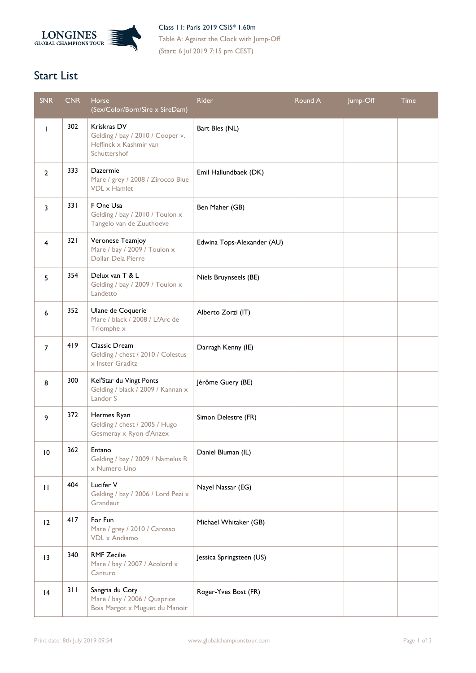

Class 11: Paris 2019 CSI5\* 1.60m Table A: Against the Clock with Jump-Off (Start: 6 Jul 2019 7:15 pm CEST)

## **Start List**

| <b>SNR</b>     | CNR. | <b>Horse</b><br>(Sex/Color/Born/Sire x SireDam)                                           | Rider                      | Round A | Jump-Off | <b>Time</b> |
|----------------|------|-------------------------------------------------------------------------------------------|----------------------------|---------|----------|-------------|
| T              | 302  | Kriskras DV<br>Gelding / bay / 2010 / Cooper v.<br>Heffinck x Kashmir van<br>Schuttershof | Bart Bles (NL)             |         |          |             |
| $\overline{2}$ | 333  | Dazermie<br>Mare / grey / 2008 / Zirocco Blue<br><b>VDL</b> x Hamlet                      | Emil Hallundbaek (DK)      |         |          |             |
| 3              | 331  | F One Usa<br>Gelding / bay / 2010 / Toulon x<br>Tangelo van de Zuuthoeve                  | Ben Maher (GB)             |         |          |             |
| 4              | 321  | Veronese Teamjoy<br>Mare / bay / 2009 / Toulon x<br>Dollar Dela Pierre                    | Edwina Tops-Alexander (AU) |         |          |             |
| 5              | 354  | Delux van T & L<br>Gelding / bay / 2009 / Toulon x<br>Landetto                            | Niels Bruynseels (BE)      |         |          |             |
| 6              | 352  | Ulane de Coquerie<br>Mare / black / 2008 / L?Arc de<br>Triomphe x                         | Alberto Zorzi (IT)         |         |          |             |
| $\overline{7}$ | 419  | Classic Dream<br>Gelding / chest / 2010 / Colestus<br>x Inster Graditz                    | Darragh Kenny (IE)         |         |          |             |
| 8              | 300  | Kel'Star du Vingt Ponts<br>Gelding / black / 2009 / Kannan x<br>Landor S                  | Jérôme Guery (BE)          |         |          |             |
| 9              | 372  | Hermes Ryan<br>Gelding / chest / 2005 / Hugo<br>Gesmeray x Ryon d'Anzex                   | Simon Delestre (FR)        |         |          |             |
| 10             | 362  | Entano<br>Gelding / bay / 2009 / Namelus R<br>x Numero Uno                                | Daniel Bluman (IL)         |         |          |             |
| $\mathbf{H}$   | 404  | Lucifer V<br>Gelding / bay / 2006 / Lord Pezi x<br>Grandeur                               | Nayel Nassar (EG)          |         |          |             |
| 12             | 417  | For Fun<br>Mare / grey / 2010 / Carosso<br>VDL x Andiamo                                  | Michael Whitaker (GB)      |         |          |             |
| 13             | 340  | <b>RMF Zecilie</b><br>Mare / bay / 2007 / Acolord x<br>Canturo                            | Jessica Springsteen (US)   |         |          |             |
| 4              | 311  | Sangria du Coty<br>Mare / bay / 2006 / Quaprice<br>Bois Margot x Muguet du Manoir         | Roger-Yves Bost (FR)       |         |          |             |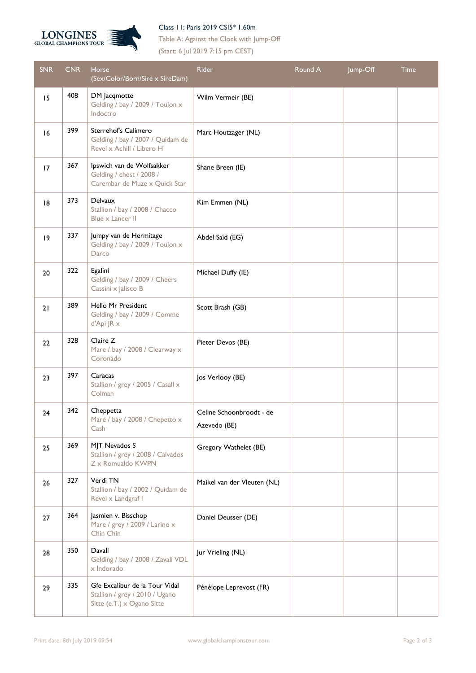

## Class 11: Paris 2019 CSI5\* 1.60m

Table A: Against the Clock with Jump-Off (Start: 6 Jul 2019 7:15 pm CEST)

| <b>SNR</b> | <b>CNR</b> | Horse<br>(Sex/Color/Born/Sire x SireDam)                                                       | Rider                                    | Round A | Jump-Off | <b>Time</b> |
|------------|------------|------------------------------------------------------------------------------------------------|------------------------------------------|---------|----------|-------------|
| 15         | 408        | DM Jacqmotte<br>Gelding / bay / 2009 / Toulon x<br>Indoctro                                    | Wilm Vermeir (BE)                        |         |          |             |
| 16         | 399        | Sterrehof's Calimero<br>Gelding / bay / 2007 / Quidam de<br>Revel x Achill / Libero H          | Marc Houtzager (NL)                      |         |          |             |
| 17         | 367        | Ipswich van de Wolfsakker<br>Gelding / chest / 2008 /<br>Carembar de Muze x Quick Star         | Shane Breen (IE)                         |         |          |             |
| 8          | 373        | Delvaux<br>Stallion / bay / 2008 / Chacco<br>Blue x Lancer II                                  | Kim Emmen (NL)                           |         |          |             |
| 9          | 337        | Jumpy van de Hermitage<br>Gelding / bay / 2009 / Toulon x<br>Darco                             | Abdel Saïd (EG)                          |         |          |             |
| 20         | 322        | Egalini<br>Gelding / bay / 2009 / Cheers<br>Cassini x Jalisco B                                | Michael Duffy (IE)                       |         |          |             |
| 21         | 389        | Hello Mr President<br>Gelding / bay / 2009 / Comme<br>d'Api JR x                               | Scott Brash (GB)                         |         |          |             |
| 22         | 328        | Claire Z<br>Mare / bay / 2008 / Clearway x<br>Coronado                                         | Pieter Devos (BE)                        |         |          |             |
| 23         | 397        | Caracas<br>Stallion / grey / 2005 / Casall x<br>Colman                                         | Jos Verlooy (BE)                         |         |          |             |
| 24         | 342        | Cheppetta<br>Mare / bay / 2008 / Chepetto x<br>Cash                                            | Celine Schoonbroodt - de<br>Azevedo (BE) |         |          |             |
| 25         | 369        | MJT Nevados S<br>Stallion / grey / 2008 / Calvados<br>Z x Romualdo KWPN                        | Gregory Wathelet (BE)                    |         |          |             |
| 26         | 327        | Verdi TN<br>Stallion / bay / 2002 / Quidam de<br>Revel x Landgraf I                            | Maikel van der Vleuten (NL)              |         |          |             |
| 27         | 364        | Jasmien v. Bisschop<br>Mare / grey / 2009 / Larino x<br>Chin Chin                              | Daniel Deusser (DE)                      |         |          |             |
| 28         | 350        | Davall<br>Gelding / bay / 2008 / Zavall VDL<br>x Indorado                                      | Jur Vrieling (NL)                        |         |          |             |
| 29         | 335        | Gfe Excalibur de la Tour Vidal<br>Stallion / grey / 2010 / Ugano<br>Sitte (e.T.) x Ogano Sitte | Pénélope Leprevost (FR)                  |         |          |             |